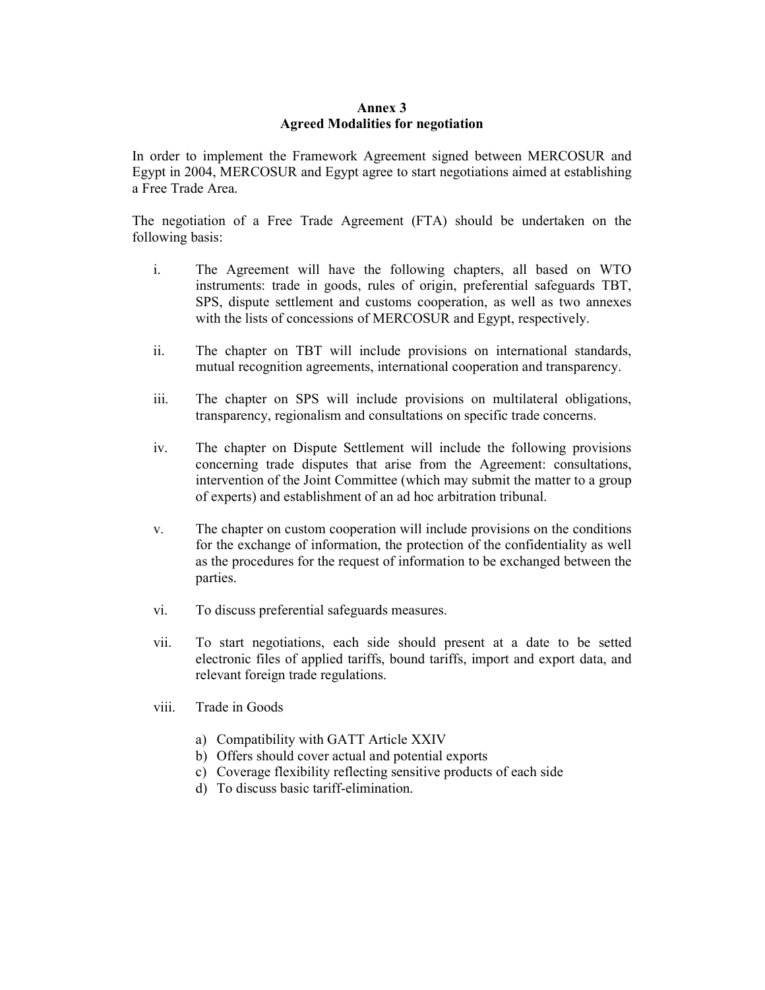## Annex 3 Agreed Modalities for negotiation

In order to implement the Framework Agreement signed between MERCOSUR and Egypt in 2004, MERCOSUR and Egypt agree to start negotiations aimed at establishing a Free Trade Area.

The negotiation of a Free Trade Agreement (FTA) should be undertaken on the following basis:

- i. The Agreement will have the following chapters, all based on WTO instruments: trade in goods, rules of origin, preferential safeguards TBT, SPS, dispute settlement and customs cooperation, as well as two annexes with the lists of concessions of MERCOSUR and Egypt, respectively.
- ii. The chapter on TBT will include provisions on international standards, mutual recognition agreements, international cooperation and transparency.
- iii. The chapter on SPS will include provisions on multilateral obligations, transparency, regionalism and consultations on specific trade concerns.
- iv. The chapter on Dispute Settlement will include the following provisions concerning trade disputes that arise from the Agreement: consultations, intervention of the Joint Committee (which may submit the matter to a group of experts) and establishment of an ad hoc arbitration tribunal.
- v. The chapter on custom cooperation will include provisions on the conditions for the exchange of information, the protection of the confidentiality as well as the procedures for the request of information to be exchanged between the parties.
- vi. To discuss preferential safeguards measures.
- vii. To start negotiations, each side should present at a date to be setted electronic files of applied tariffs, bound tariffs, import and export data, and relevant foreign trade regulations.
- viii. Trade in Goods
	- a) Compatibility with GATT Article XXIV
	- b) Offers should cover actual and potential exports
	- c) Coverage flexibility reflecting sensitive products of each side
	- d) To discuss basic tariff-elimination.